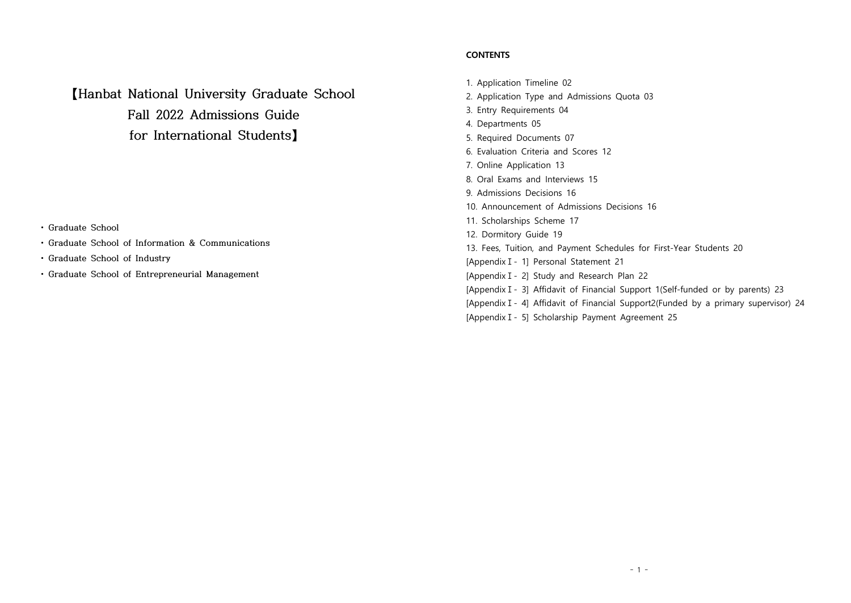**【Hanbat National University Graduate School Fall 2022 Admissions Guide for International Students】**

- 
- **Graduate School Graduate School of Information & Communications**
- **Graduate School of Industry**
- **Graduate School of Entrepreneurial Management**

## **CONTENTS**

1. Application Timeline 02 2. Application Type and Admissions Quota 03 3. Entry Requirements 04 4. Departments 05 5. Required Documents 07 6. Evaluation Criteria and Scores 12 7. Online Application 13 8. Oral Exams and Interviews 15 9. Admissions Decisions 16 10. Announcement of Admissions Decisions 16 11. Scholarships Scheme 17 12. Dormitory Guide 19 13. Fees, Tuition, and Payment Schedules for First-Year Students 20 [AppendixⅠ- 1] Personal Statement 21 [AppendixⅠ- 2] Study and Research Plan 22 [Appendix I - 3] Affidavit of Financial Support 1(Self-funded or by parents) 23 [Appendix I - 4] Affidavit of Financial Support2(Funded by a primary supervisor) 24 [AppendixⅠ- 5] Scholarship Payment Agreement 25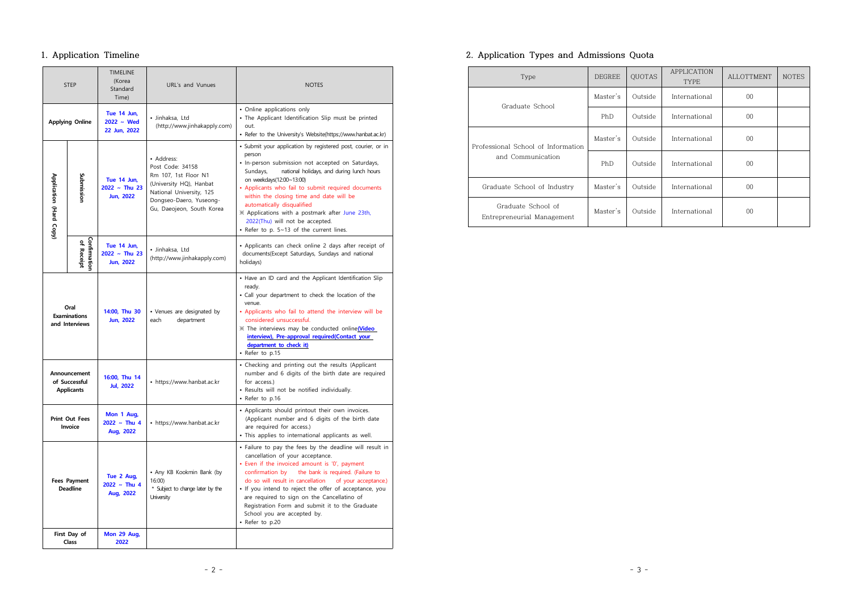## **1. Application Timeline**

| <b>STEP</b>                                   |                                                    | <b>TIMELINE</b><br>(Korea<br>Standard<br>Time)                                                        | URL's and Vunues                                                                                                                                                      | <b>NOTES</b>                                                                                                                                                                                                                                                                                                                                                                                                                                                                       |  |  |
|-----------------------------------------------|----------------------------------------------------|-------------------------------------------------------------------------------------------------------|-----------------------------------------------------------------------------------------------------------------------------------------------------------------------|------------------------------------------------------------------------------------------------------------------------------------------------------------------------------------------------------------------------------------------------------------------------------------------------------------------------------------------------------------------------------------------------------------------------------------------------------------------------------------|--|--|
|                                               | <b>Applying Online</b>                             | Tue 14 Jun,<br>$2022 \sim$ Wed<br>22 Jun, 2022                                                        | · Jinhaksa, Ltd<br>(http://www.jinhakapply.com)                                                                                                                       | • Online applications only<br>. The Applicant Identification Slip must be printed<br>out.<br>• Refer to the University's Website(https://www.hanbat.ac.kr)                                                                                                                                                                                                                                                                                                                         |  |  |
| Application (Hard Copy)                       | Submissior                                         | Tue 14 Jun.<br>$2022 ~$ Thu 23<br><b>Jun, 2022</b>                                                    | • Address:<br>Post Code: 34158<br>Rm 107, 1st Floor N1<br>(University HQ), Hanbat<br>National University, 125<br>Dongseo-Daero, Yuseong-<br>Gu, Daeojeon, South Korea | · Submit your application by registered post, courier, or in<br>person<br>· In-person submission not accepted on Saturdays,<br>national holidays, and during lunch hours<br>Sundays,<br>on weekdays(12:00~13:00)<br>• Applicants who fail to submit required documents<br>within the closing time and date will be<br>automatically disqualified<br>X Applications with a postmark after June 23th,<br>2022(Thu) will not be accepted.<br>• Refer to p. 5~13 of the current lines. |  |  |
|                                               | Confirmatio<br>of Receipt                          | Tue 14 Jun,<br>· Jinhaksa, Ltd<br>$2022 ~$ Thu 23<br>(http://www.jinhakapply.com)<br><b>Jun, 2022</b> |                                                                                                                                                                       | • Applicants can check online 2 days after receipt of<br>documents(Except Saturdays, Sundays and national<br>holidays)                                                                                                                                                                                                                                                                                                                                                             |  |  |
| Oral<br><b>Examinations</b><br>and Interviews |                                                    | 14:00, Thu 30<br><b>Jun, 2022</b>                                                                     | • Venues are designated by<br>department<br>each                                                                                                                      | . Have an ID card and the Applicant Identification Slip<br>ready.<br>• Call your department to check the location of the<br>venue.<br>• Applicants who fail to attend the interview will be<br>considered unsuccessful.<br>X The interviews may be conducted online(Video<br>interview), Pre-approval required(Contact your<br>department to check it)<br>• Refer to p.15                                                                                                          |  |  |
|                                               | Announcement<br>of Successful<br><b>Applicants</b> | 16:00, Thu 14<br><b>Jul, 2022</b>                                                                     | • https://www.hanbat.ac.kr                                                                                                                                            | • Checking and printing out the results (Applicant<br>number and 6 digits of the birth date are required<br>for access.)<br>· Results will not be notified individually.<br>• Refer to p.16                                                                                                                                                                                                                                                                                        |  |  |
|                                               | <b>Print Out Fees</b><br>Invoice                   | Mon 1 Aug,<br>$2022 \sim$ Thu 4<br>Aug, 2022                                                          | • https://www.hanbat.ac.kr                                                                                                                                            | • Applicants should printout their own invoices.<br>(Applicant number and 6 digits of the birth date<br>are required for access.)<br>· This applies to international applicants as well.                                                                                                                                                                                                                                                                                           |  |  |
| <b>Fees Payment</b><br><b>Deadline</b>        |                                                    | Tue 2 Aug,<br>$2022 \sim$ Thu 4<br>Aug, 2022                                                          | • Any KB Kookmin Bank (by<br>16:00<br>* Subject to change later by the<br>University                                                                                  | • Failure to pay the fees by the deadline will result in<br>cancellation of your acceptance.<br>• Even if the invoiced amount is '0', payment<br>confirmation by<br>the bank is required. (Failure to<br>do so will result in cancellation<br>of your acceptance.)<br>• If you intend to reject the offer of acceptance, you<br>are required to sign on the Cancellatino of<br>Registration Form and submit it to the Graduate<br>School you are accepted by.<br>• Refer to p.20   |  |  |
|                                               | First Day of<br>Class                              | Mon 29 Aug,<br>2022                                                                                   |                                                                                                                                                                       |                                                                                                                                                                                                                                                                                                                                                                                                                                                                                    |  |  |

## **2. Application Types and Admissions Quota**

| Type                                             | <b>DEGREE</b> | <b>QUOTAS</b> | <b>APPLICATION</b><br><b>TYPE</b> | <b>ALLOTTMENT</b> | <b>NOTES</b> |
|--------------------------------------------------|---------------|---------------|-----------------------------------|-------------------|--------------|
| Graduate School                                  | Master's      | Outside       | International                     | $00\,$            |              |
|                                                  | PhD           | Outside       | International                     | $00\,$            |              |
| Professional School of Information               | Master's      | Outside       | International                     | $00\,$            |              |
| and Communication                                | PhD           | Outside       | International                     | $00\,$            |              |
| Graduate School of Industry                      | Master's      | Outside       | International                     | $00\,$            |              |
| Graduate School of<br>Entrepreneurial Management | Master's      | Outside       | International                     | 00                |              |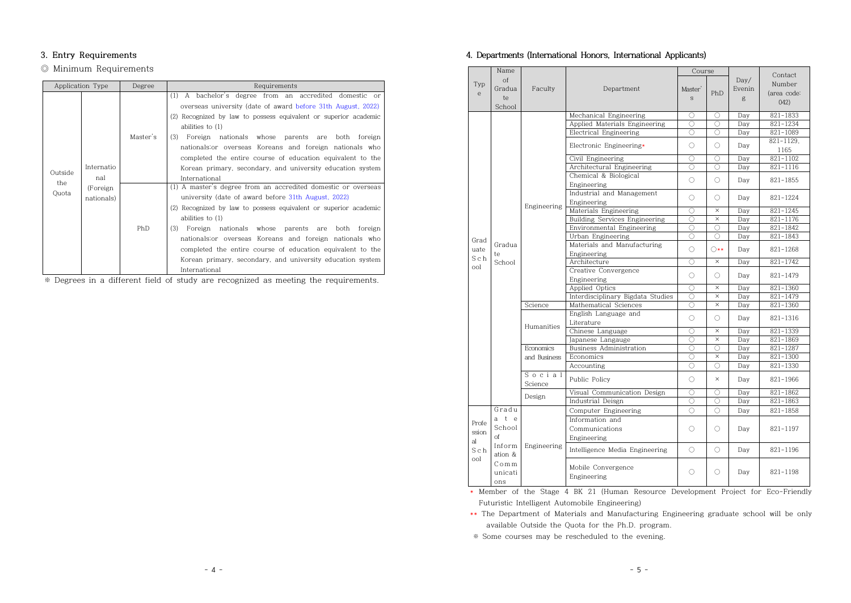## **3. Entry Requirements**

## ◎ Minimum Requirements

|              | Application Type        | Degree   | Requirements                                                                                                                                                                                                                                                                                                                                                                                                                                                                            |
|--------------|-------------------------|----------|-----------------------------------------------------------------------------------------------------------------------------------------------------------------------------------------------------------------------------------------------------------------------------------------------------------------------------------------------------------------------------------------------------------------------------------------------------------------------------------------|
| Outside      | Internatio<br>nal       | Master's | (1)<br>A bachelor's degree from an accredited domestic or<br>overseas university (date of award before 31th August, 2022)<br>(2) Recognized by law to possess equivalent or superior academic<br>abilities to $(1)$<br>(3)<br>Foreign nationals whose parents are both foreign<br>nationals: or overseas Koreans and foreign nationals who<br>completed the entire course of education equivalent to the<br>Korean primary, secondary, and university education system<br>International |
| the<br>Quota | (Foreign)<br>nationals) | PhD      | (1) A master's degree from an accredited domestic or overseas<br>university (date of award before 31th August, 2022)<br>(2) Recognized by law to possess equivalent or superior academic<br>abilities to $(1)$<br>(3)<br>Foreign nationals whose parents are<br>both foreign<br>nationals: or overseas Koreans and foreign nationals who<br>completed the entire course of education equivalent to the<br>Korean primary, secondary, and university education system<br>International   |

※ Degrees in a different field of study are recognized as meeting the requirements.

## **4. Departments (International Honors, International Applicants)**

| Name                  |                                                             |                                |                                                  | Course     |                     |                               | Contact           |
|-----------------------|-------------------------------------------------------------|--------------------------------|--------------------------------------------------|------------|---------------------|-------------------------------|-------------------|
| Typ<br>$\mathsf{e}\,$ | $\Omega$<br>Gradua<br>Faculty<br>Department<br>te<br>School |                                | Master'<br>$\mathbf{s}$                          | PhD        | Day/<br>Evenin<br>g | Number<br>(area code:<br>042) |                   |
|                       |                                                             |                                | Mechanical Engineering                           | 0          | O                   | Day                           | 821-1833          |
|                       |                                                             |                                | Applied Materials Engineering                    | 0          | 0                   | Day                           | 821-1234          |
|                       |                                                             |                                | Electrical Engineering                           | Ο          | O                   | Day                           | 821-1089          |
|                       |                                                             |                                | Electronic Engineering*                          | 0          | 0                   | Day                           | 821-1129.<br>1165 |
|                       |                                                             |                                | Civil Engineering                                | $\bigcirc$ | $\bigcirc$          | Day                           | $821 - 1102$      |
|                       |                                                             |                                | Architectural Engineering                        | Ō          | $\bigcirc$          | Day                           | 821-1116          |
|                       |                                                             |                                | Chemical & Biological<br>Engineering             | 0          | 0                   | Dav                           | 821-1855          |
|                       |                                                             |                                | Industrial and Management<br>Engineering         | 0          | 0                   | Day                           | 821-1224          |
|                       |                                                             | Engineering                    | Materials Engineering                            | 0          | $\times$            | Day                           | $821 - 1245$      |
|                       |                                                             |                                | Building Services Engineering                    | O          | $\times$            | Dav                           | 821-1176          |
|                       |                                                             |                                | Environmental Engineering                        | O          | 0                   | Day                           | 821-1842          |
|                       |                                                             |                                | Urban Engineering                                | $\bigcirc$ | 0                   | Day                           | 821-1843          |
| Grad<br>uate          | Gradua<br>te                                                |                                | Materials and Manufacturing<br>Engineering       | O.         | $\bigcirc$ **       | Day                           | 821-1268          |
| Sch                   | School                                                      |                                | Architecture                                     | 0          | $\times$            | Day                           | 821-1742          |
| foo                   |                                                             |                                | Creative Convergence<br>Engineering              | 0          | 0                   | Day                           | 821-1479          |
|                       |                                                             |                                | Applied Optics                                   | Ō          | $\times$            | Day                           | 821-1360          |
|                       |                                                             |                                | Interdisciplinary Bigdata Studies                | Ō          | $\times$            | Day                           | 821-1479          |
|                       |                                                             | Science                        | Mathematical Sciences                            | O          | ×                   | Day                           | 821-1360          |
|                       |                                                             | Humanities<br><b>Economics</b> | English Language and<br>Literature               | 0          | 0                   | Day                           | 821-1316          |
|                       |                                                             |                                | Chinese Language                                 | Ō          | $\times$            | Day                           | 821-1339          |
|                       |                                                             |                                | Japanese Langauge                                | Ō          | $\times$            | Day                           | 821-1869          |
|                       |                                                             |                                | Business Administration                          | Ō          | $\bigcirc$          | Dav                           | 821-1287          |
|                       |                                                             | and Business                   | Economics                                        | O          | $\times$            | Day                           | 821-1300          |
|                       |                                                             |                                | Accounting                                       | 0          | 0                   | Day                           | 821-1330          |
|                       |                                                             | Social<br>Science              | Public Policy                                    | 0          | $\times$            | Day                           | 821-1966          |
|                       |                                                             |                                | Visual Communication Design                      | Ō          | $\bigcirc$          | Day                           | 821-1862          |
|                       |                                                             | Design                         | Industrial Deisgn                                | 0          | $\bigcirc$          | Day                           | 821-1863          |
|                       | Gradu                                                       |                                | Computer Engineering                             | O.         | 0                   | Day                           | 821-1858          |
| Profe<br>ssion        | a t e<br>School<br>of                                       |                                | Information and<br>Communications<br>Engineering |            | 0                   | Day                           | 821-1197          |
| al<br>Sch             | Inform<br>ation $\&$                                        | Engineering                    | Intelligence Media Engineering                   | 0          | $\bigcirc$          | Day                           | 821-1196          |
| ool<br>ons            | Comm<br>unicati                                             |                                | Mobile Convergence<br>Engineering                | 0          | О                   | Day                           | 821-1198          |

\* Member of the Stage 4 BK 21 (Human Resource Development Project for Eco-Friendly Futuristic Intelligent Automobile Engineering)

\*\* The Department of Materials and Manufacturing Engineering graduate school will be only available Outside the Quota for the Ph.D. program.

※ Some courses may be rescheduled to the evening.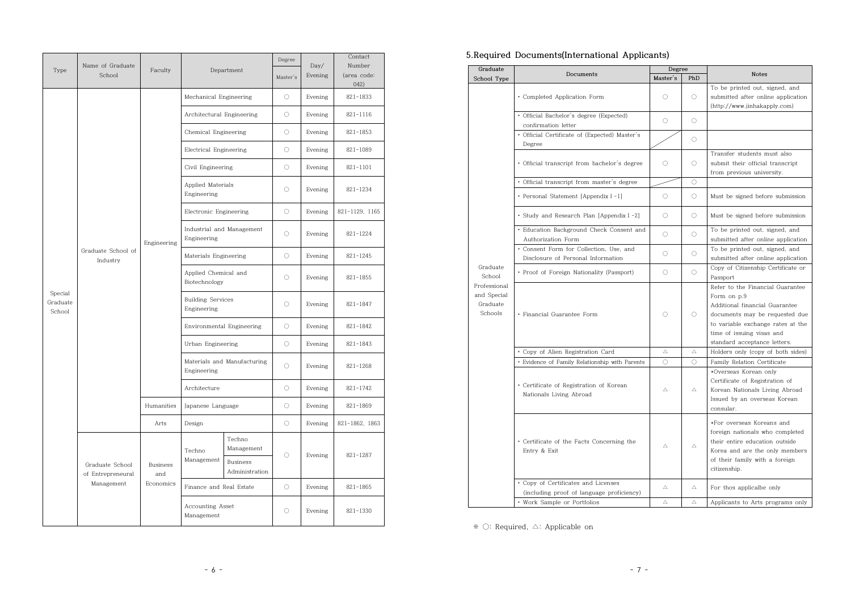|                               | Name of Graduate                     |                        | Department                                 |                                   | Degree     | Day/    | Contact<br>Number   |
|-------------------------------|--------------------------------------|------------------------|--------------------------------------------|-----------------------------------|------------|---------|---------------------|
| Type                          | School                               | Faculty                |                                            |                                   | Master's   | Evening | (area code:<br>042) |
|                               |                                      |                        | Mechanical Engineering                     |                                   | $\circ$    | Evening | $821 - 1833$        |
|                               |                                      |                        | Architectural Engineering                  |                                   | $\circ$    | Evening | $821 - 1116$        |
|                               |                                      |                        | Chemical Engineering                       |                                   | $\bigcirc$ | Evening | 821-1853            |
|                               |                                      |                        | Electrical Engineering                     |                                   | $\circ$    | Evening | 821-1089            |
|                               |                                      |                        | Civil Engineering                          |                                   | $\circ$    | Evening | 821-1101            |
|                               |                                      |                        | Applied Materials<br>Engineering           |                                   | $\bigcirc$ | Evening | 821-1234            |
|                               |                                      |                        | Electronic Engineering                     |                                   | $\bigcirc$ | Evening | 821-1129, 1165      |
|                               |                                      | Engineering            | Industrial and Management<br>Engineering   |                                   | $\bigcirc$ | Evening | 821-1224            |
|                               | Graduate School of<br>Industry       |                        | Materials Engineering                      |                                   | $\circ$    | Evening | 821-1245            |
|                               |                                      |                        | Applied Chemical and<br>Biotechnology      |                                   | $\circ$    | Evening | 821-1855            |
| Special<br>Graduate<br>School |                                      |                        | <b>Building Services</b><br>Engineering    |                                   | $\bigcirc$ | Evening | 821-1847            |
|                               |                                      |                        | Environmental Engineering                  |                                   | $\bigcirc$ | Evening | 821-1842            |
|                               |                                      |                        | Urban Engineering                          |                                   | $\bigcirc$ | Evening | 821-1843            |
|                               |                                      |                        | Materials and Manufacturing<br>Engineering |                                   | $\bigcirc$ | Evening | 821-1268            |
|                               |                                      |                        | Architecture                               |                                   | $\bigcirc$ | Evening | 821-1742            |
|                               |                                      | Humanities             |                                            | Japanese Language                 |            | Evening | 821-1869            |
|                               |                                      | Arts                   | Design                                     |                                   | $\circ$    | Evening | 821-1862, 1863      |
|                               |                                      |                        |                                            | Techno<br>Management              |            |         |                     |
|                               | Graduate School<br>of Entrepreneural | <b>Business</b><br>and | Techno<br>Management                       | <b>Business</b><br>Administration | $\circ$    | Evening | 821-1287            |
|                               | Management                           | Economics              | Finance and Real Estate                    |                                   | $\circ$    | Evening | 821-1865            |
|                               |                                      |                        | Accounting Asset<br>Management             |                                   | $\bigcirc$ | Evening | $821 - 1330$        |

## **5.Required Documents(International Applicants)**

| Graduate                                           |                                                                                  | Degree      |             |                                                                                                                                                                                                                       |  |
|----------------------------------------------------|----------------------------------------------------------------------------------|-------------|-------------|-----------------------------------------------------------------------------------------------------------------------------------------------------------------------------------------------------------------------|--|
| School Type                                        | Documents                                                                        | Master's    | PhD         | <b>Notes</b>                                                                                                                                                                                                          |  |
|                                                    | · Completed Application Form                                                     | O           | $\bigcirc$  | To be printed out, signed, and<br>submitted after online application<br>(http://www.jinhakapply.com)                                                                                                                  |  |
|                                                    | · Official Bachelor's degree (Expected)<br>confirmation letter                   | 0           | $\circ$     |                                                                                                                                                                                                                       |  |
|                                                    | · Official Certificate of (Expected) Master's<br>Degree                          |             | $\bigcirc$  |                                                                                                                                                                                                                       |  |
|                                                    | · Official transcript from bachelor's degree                                     | 0           | $\bigcirc$  | Transfer students must also<br>submit their official transcript<br>from previous university.                                                                                                                          |  |
|                                                    | · Official transcript from master's degree                                       |             | $\bigcirc$  |                                                                                                                                                                                                                       |  |
|                                                    | · Personal Statement [Appendix I -1]                                             | $\bigcirc$  | $\circ$     | Must be signed before submission                                                                                                                                                                                      |  |
|                                                    | • Study and Research Plan [Appendix I -2]                                        | $\circ$     | $\circ$     | Must be signed before submission                                                                                                                                                                                      |  |
|                                                    | · Education Background Check Consent and<br>Authorization Form                   | 0           | $\circ$     | To be printed out, signed, and<br>submitted after online application                                                                                                                                                  |  |
|                                                    | • Consent Form for Collection, Use, and<br>Disclosure of Personal Information    | $\circ$     | $\circ$     | To be printed out, signed, and<br>submitted after online application                                                                                                                                                  |  |
| Graduate<br>School                                 | • Proof of Foreign Nationality (Passport)                                        | 0           | $\circ$     | Copy of Citizenship Certificate or<br>Passport                                                                                                                                                                        |  |
| Professional<br>and Special<br>Graduate<br>Schools | · Financial Guarantee Form                                                       | 0           | $\bigcirc$  | Refer to the Financial Guarantee<br>Form on p.9<br>Additional financial Guarantee<br>documents may be requested due<br>to variable exchange rates at the<br>time of issuing visas and<br>standard acceptance letters. |  |
|                                                    | · Copy of Alien Registration Card                                                | Δ           | Δ           | Holders only (copy of both sides)                                                                                                                                                                                     |  |
|                                                    | · Evidence of Family Relationship with Parents                                   | $\bigcirc$  | $\bigcirc$  | Family Relation Certificate                                                                                                                                                                                           |  |
|                                                    | • Certificate of Registration of Korean<br>Nationals Living Abroad               | Δ           | Δ           | *Overseas Korean only<br>Certificate of Registration of<br>Korean Nationals Living Abroad<br>Issued by an overseas Korean<br>consular.                                                                                |  |
|                                                    | • Certificate of the Facts Concerning the<br>Entry & Exit                        | Δ           | $\triangle$ | *For overseas Koreans and<br>foreign nationals who completed<br>their entire education outside<br>Korea and are the only members<br>of their family with a foreign<br>citizenship.                                    |  |
|                                                    | • Copy of Certificates and Licenses<br>(including proof of language proficiency) | $\triangle$ | Δ           | For thos applicalbe only                                                                                                                                                                                              |  |
|                                                    | · Work Sample or Portfolios                                                      | Δ           | Δ           | Applicants to Arts programs only                                                                                                                                                                                      |  |

※ ○: Required, △: Applicable on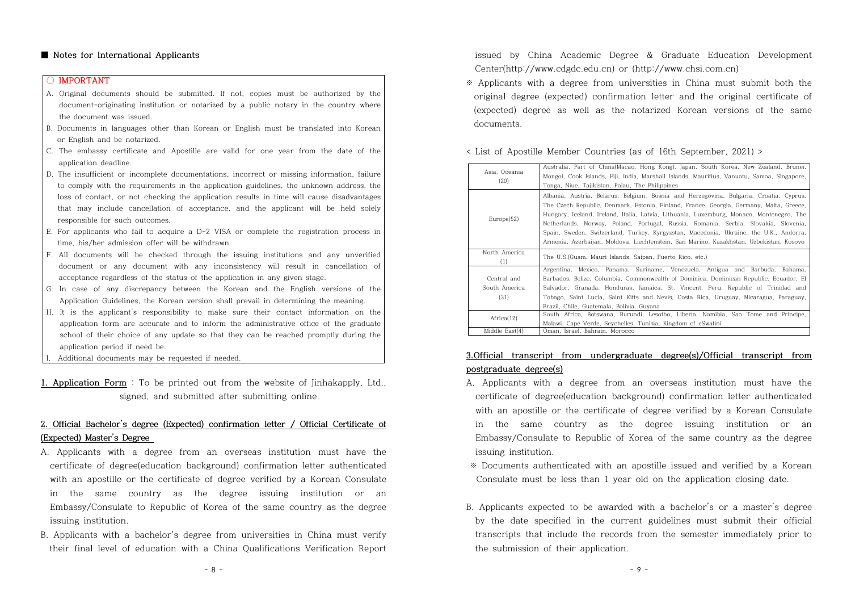#### **■ Notes for International Applicants**

#### **○ IMPORTANT**

- A. Original documents should be submitted. If not, copies must be authorized by the document-originating institution or notarized by a public notary in the country where the document was issued.
- B. Documents in languages other than Korean or English must be translated into Korean or English and be notarized.
- C. The embassy certificate and Apostille are valid for one year from the date of the application deadline.
- D. The insufficient or incomplete documentations, incorrect or missing information, failure to comply with the requirements in the application guidelines, the unknown address, the loss of contact, or not checking the application results in time will cause disadvantages that may include cancellation of acceptance, and the applicant will be held solely responsible for such outcomes.
- E. For applicants who fail to acquire a D-2 VISA or complete the registration process in time, his/her admission offer will be withdrawn.
- F. All documents will be checked through the issuing institutions and any unverified document or any document with any inconsistency will result in cancellation of acceptance regardless of the status of the application in any given stage.
- G. In case of any discrepancy between the Korean and the English versions of the Application Guidelines, the Korean version shall prevail in determining the meaning.
- H. It is the applicant's responsibility to make sure their contact information on the application form are accurate and to inform the administrative office of the graduate school of their choice of any update so that they can be reached promptly during the application period if need be.
- Additional documents may be requested if needed.
- **1. Application Form** : To be printed out from the website of Jinhakapply, Ltd., signed, and submitted after submitting online.

## **2. Official Bachelor's degree (Expected) confirmation letter / Official Certificate of (Expected) Master's Degree**

- A. Applicants with a degree from an overseas institution must have the certificate of degree(education background) confirmation letter authenticated with an apostille or the certificate of degree verified by a Korean Consulate in the same country as the degree issuing institution or an Embassy/Consulate to Republic of Korea of the same country as the degree issuing institution.
- B. Applicants with a bachelor's degree from universities in China must verify their final level of education with a China Qualifications Verification Report

issued by China Academic Degree & Graduate Education Development Center(http://www.cdgdc.edu.cn) or (http://www.chsi.com.cn)

※ Applicants with a degree from universities in China must submit both the original degree (expected) confirmation letter and the original certificate of (expected) degree as well as the notarized Korean versions of the same documents.

< List of Apostille Member Countries (as of 16th September, 2021) >

| Asia. Oceania<br>(20)                                                             | Australia, Part of China(Macao, Hong Kong), Japan, South Korea, New Zealand, Brunei,<br>Mongol, Cook Islands, Fiji, India, Marshall Islands, Mauritius, Vanuatu, Samoa, Singapore,<br>Tonga, Niue, Tajikistan, Palau, The Philippines                                                                                                                                                                                                                                                                                                                     |  |  |  |  |
|-----------------------------------------------------------------------------------|-----------------------------------------------------------------------------------------------------------------------------------------------------------------------------------------------------------------------------------------------------------------------------------------------------------------------------------------------------------------------------------------------------------------------------------------------------------------------------------------------------------------------------------------------------------|--|--|--|--|
| Europe(52)                                                                        | Albania, Austria, Belarus, Belgium, Bosnia and Herzegovina, Bulgaria, Croatia, Cyprus,<br>The Czech Republic, Denmark, Estonia, Finland, France, Georgia, Germany, Malta, Greece,<br>Hungary, Iceland, Ireland, Italia, Latvia, Lithuania, Luxemburg, Monaco, Montenegro, The<br>Netherlands, Norway, Poland, Portugal, Russia, Romania, Serbia, Slovakia, Slovenia,<br>Spain, Sweden, Switzerland, Turkey, Kyrgyzstan, Macedonia, Ukraine, the U.K., Andorra,<br>Armenia, Azerbaijan, Moldova, Liechtenstein, San Marino, Kazakhstan, Uzbekistan, Kosovo |  |  |  |  |
| North America<br>The U.S. (Guam, Mauri Islands, Saipan, Puerto Rico, etc.)<br>(1) |                                                                                                                                                                                                                                                                                                                                                                                                                                                                                                                                                           |  |  |  |  |
| Central and<br>South America<br>(31)                                              | Argentina, Mexico, Panama, Suriname, Venezuela, Antigua and Barbuda, Bahama,<br>Barbados, Belize, Columbia, Commonwealth of Dominica, Dominican Republic, Ecuador, El<br>Salvador, Granada, Honduras, Jamaica, St. Vincent, Peru, Republic of Trinidad and<br>Tobago, Saint Lucia, Saint Kitts and Nevis, Costa Rica, Uruguay, Nicaragua, Paraguay,<br>Brazil, Chile, Guatemala, Bolivia, Guvana                                                                                                                                                          |  |  |  |  |
| Africa(12)                                                                        | South Africa, Botswana, Burundi, Lesotho, Liberia, Namibia, Sao Tome and Principe,<br>Malawi, Cape Verde, Seychelles, Tunisia, Kingdom of eSwatini                                                                                                                                                                                                                                                                                                                                                                                                        |  |  |  |  |
| Middle East(4)<br>Oman, Israel, Bahrain, Morocco                                  |                                                                                                                                                                                                                                                                                                                                                                                                                                                                                                                                                           |  |  |  |  |

## **3.Official transcript from undergraduate degree(s)/Official transcript from postgraduate degree(s)**

- A. Applicants with a degree from an overseas institution must have the certificate of degree(education background) confirmation letter authenticated with an apostille or the certificate of degree verified by a Korean Consulate in the same country as the degree issuing institution or an Embassy/Consulate to Republic of Korea of the same country as the degree issuing institution.
- ※ Documents authenticated with an apostille issued and verified by a Korean Consulate must be less than 1 year old on the application closing date.
- B. Applicants expected to be awarded with a bachelor's or a master's degree by the date specified in the current guidelines must submit their official transcripts that include the records from the semester immediately prior to the submission of their application.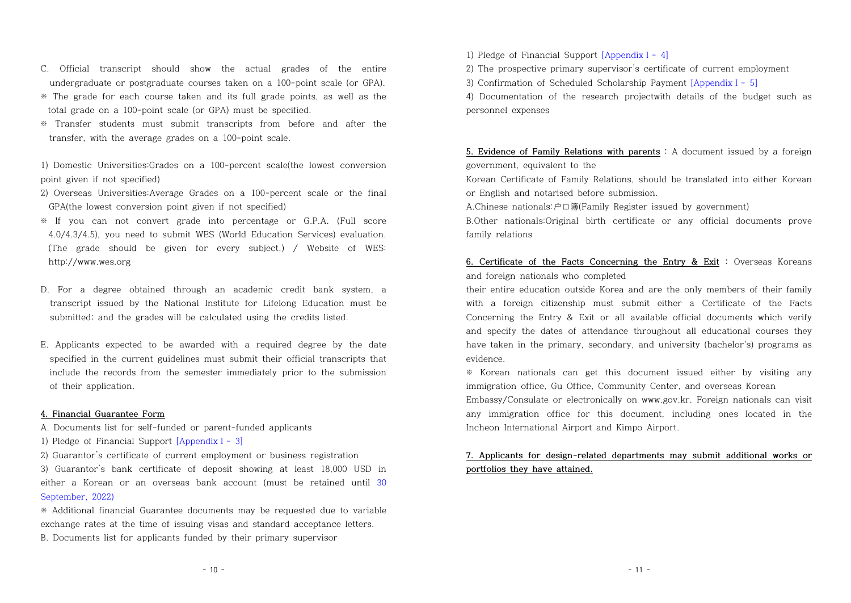- C. Official transcript should show the actual grades of the entire undergraduate or postgraduate courses taken on a 100-point scale (or GPA).
- ※ The grade for each course taken and its full grade points, as well as the total grade on a 100-point scale (or GPA) must be specified.
- ※ Transfer students must submit transcripts from before and after the transfer, with the average grades on a 100-point scale.

1) Domestic Universities:Grades on a 100-percent scale(the lowest conversion point given if not specified)

- 2) Overseas Universities:Average Grades on a 100-percent scale or the final GPA(the lowest conversion point given if not specified)
- ※ If you can not convert grade into percentage or G.P.A. (Full score 4.0/4.3/4.5), you need to submit WES (World Education Services) evaluation. (The grade should be given for every subject.) / Website of WES: http://www.wes.org
- D. For a degree obtained through an academic credit bank system, a transcript issued by the National Institute for Lifelong Education must be submitted; and the grades will be calculated using the credits listed.
- E. Applicants expected to be awarded with a required degree by the date specified in the current guidelines must submit their official transcripts that include the records from the semester immediately prior to the submission of their application.

## **4. Financial Guarantee Form**

A. Documents list for self-funded or parent-funded applicants

- 1) Pledge of Financial Support [AppendixⅠ- 3]
- 2) Guarantor's certificate of current employment or business registration

3) Guarantor's bank certificate of deposit showing at least 18,000 USD in either a Korean or an overseas bank account (must be retained until 30 September, 2022)

※ Additional financial Guarantee documents may be requested due to variable exchange rates at the time of issuing visas and standard acceptance letters. B. Documents list for applicants funded by their primary supervisor

1) Pledge of Financial Support [AppendixⅠ- 4]

2) The prospective primary supervisor's certificate of current employment

3) Confirmation of Scheduled Scholarship Payment [AppendixⅠ- 5]

4) Documentation of the research projectwith details of the budget such as personnel expenses

## **5. Evidence of Family Relations with parents :** A document issued by a foreign government, equivalent to the

Korean Certificate of Family Relations, should be translated into either Korean or English and notarised before submission.

A.Chinese nationals:户口簿(Family Register issued by government)

B.Other nationals:Original birth certificate or any official documents prove family relations

## **6. Certificate of the Facts Concerning the Entry & Exit :** Overseas Koreans and foreign nationals who completed

their entire education outside Korea and are the only members of their family with a foreign citizenship must submit either a Certificate of the Facts Concerning the Entry  $&$  Exit or all available official documents which verify and specify the dates of attendance throughout all educational courses they have taken in the primary, secondary, and university (bachelor's) programs as evidence.

※ Korean nationals can get this document issued either by visiting any immigration office, Gu Office, Community Center, and overseas Korean

Embassy/Consulate or electronically on www.gov.kr. Foreign nationals can visit any immigration office for this document, including ones located in the Incheon International Airport and Kimpo Airport.

# **7. Applicants for design-related departments may submit additional works or portfolios they have attained.**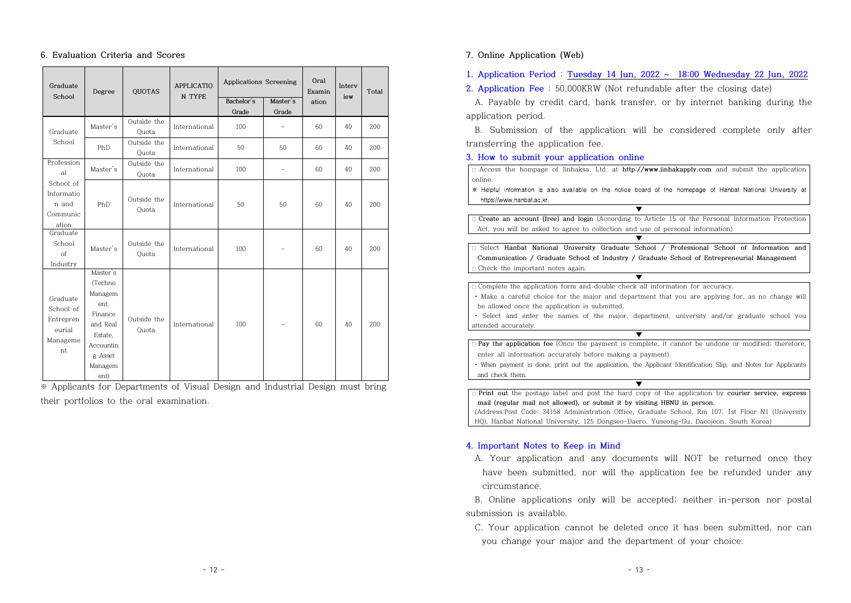### **6. Evaluation Criteria and Scores**

| Graduate<br>School                                                         | Degree                                                                                                              | <b>QUOTAS</b>                                                                                | <b>APPLICATIO</b><br>N TYPE                                      | Applications Screening          | Oral<br>Examin                                      | Interv               | Total                |                          |
|----------------------------------------------------------------------------|---------------------------------------------------------------------------------------------------------------------|----------------------------------------------------------------------------------------------|------------------------------------------------------------------|---------------------------------|-----------------------------------------------------|----------------------|----------------------|--------------------------|
|                                                                            |                                                                                                                     |                                                                                              |                                                                  | Bachelor's                      | Master's                                            | ation                | iew                  |                          |
| Graduate<br>School<br>Profession<br>al<br>School of<br>Informatio<br>n and | Master's<br>PhD<br>Master's<br>PhD                                                                                  | Outside the<br>Quota<br>Outside the<br>Quota<br>Outside the<br>Quota<br>Outside the<br>Quota | International<br>International<br>International<br>International | Grade<br>100<br>50<br>100<br>50 | Grade<br>$\frac{1}{2}$<br>50<br>$\frac{1}{2}$<br>50 | 60<br>60<br>60<br>60 | 40<br>40<br>40<br>40 | 200<br>200<br>200<br>200 |
| Communic<br>ation<br>Graduate<br>School<br>of<br>Industry                  | Master's                                                                                                            | Outside the<br>Quota                                                                         | International                                                    | 100                             | $\equiv$                                            | 60                   | 40                   | 200                      |
| Graduate<br>School of<br>Entrepren<br>eurial<br>Manageme<br>nt             | Master's<br>(Techno<br>Managem<br>ent,<br>Finance<br>and Real<br>Estate,<br>Accountin<br>g Asset<br>Managem<br>ent) | Outside the<br>Quota                                                                         | International                                                    | 100                             | $\qquad \qquad -$                                   | 60                   | 40                   | 200                      |

※ Applicants for Departments of Visual Design and Industrial Design must bring their portfolios to the oral examination.

## **7. Online Application (Web)**

**1. Application Period** : **Tuesday 14 Jun, 2022 ~ 18:00 Wednesday 22 Jun, 2022**

**2. Application Fee** : 50,000KRW (Not refundable after the closing date)

 A. Payable by credit card, bank transfer, or by internet banking during the application period.

 B. Submission of the application will be considered complete only after transferring the application fee.

**3. How to submit your application online**

|                                                                                        | $\Box$ Access the hompage of Jinhaksa, Ltd. at http://www.jinhakapply.com and submit the application           |  |  |  |  |  |
|----------------------------------------------------------------------------------------|----------------------------------------------------------------------------------------------------------------|--|--|--|--|--|
| online.                                                                                |                                                                                                                |  |  |  |  |  |
|                                                                                        | * Helpful information is also available on the notice board of the homepage of Hanbat National University at   |  |  |  |  |  |
| https://www.hanbat.ac.kr.                                                              |                                                                                                                |  |  |  |  |  |
|                                                                                        | ▼                                                                                                              |  |  |  |  |  |
|                                                                                        | $\Box$ Create an account (free) and login (According to Article 15 of the Personal Information Protection      |  |  |  |  |  |
|                                                                                        | Act, you will be asked to agree to collection and use of personal information)                                 |  |  |  |  |  |
|                                                                                        |                                                                                                                |  |  |  |  |  |
|                                                                                        | $\Box$ Select Hanbat National University Graduate School / Professional School of Information and              |  |  |  |  |  |
|                                                                                        | Communication / Graduate School of Industry / Graduate School of Entrepreneurial Management                    |  |  |  |  |  |
| $\Box$ Check the important notes again.                                                |                                                                                                                |  |  |  |  |  |
|                                                                                        | ▼                                                                                                              |  |  |  |  |  |
|                                                                                        | $\Box$ Complete the application form and double check all information for accuracy.                            |  |  |  |  |  |
|                                                                                        | • Make a careful choice for the major and department that you are applying for, as no change will              |  |  |  |  |  |
| be allowed once the application is submitted.                                          |                                                                                                                |  |  |  |  |  |
|                                                                                        | • Select and enter the names of the major, department, university and/or graduate school you                   |  |  |  |  |  |
| attended accurately.                                                                   |                                                                                                                |  |  |  |  |  |
|                                                                                        | v                                                                                                              |  |  |  |  |  |
|                                                                                        | $\Box$ Pay the application fee (Once the payment is complete, it cannot be undone or modified; therefore,      |  |  |  |  |  |
|                                                                                        | enter all information accurately before making a payment).                                                     |  |  |  |  |  |
|                                                                                        | • When payment is done, print out the application, the Applicant Identification Slip, and Notes for Applicants |  |  |  |  |  |
| and check them.                                                                        |                                                                                                                |  |  |  |  |  |
|                                                                                        |                                                                                                                |  |  |  |  |  |
|                                                                                        | $\Box$ Print out the postage label and post the hard copy of the application by courier service, express       |  |  |  |  |  |
|                                                                                        | mail (regular mail not allowed), or submit it by visiting HBNU in person.                                      |  |  |  |  |  |
|                                                                                        | (Address:Post Code: 34158 Administration Office, Graduate School, Rm 107, 1st Floor N1 (University)            |  |  |  |  |  |
| HO). Hanbat National University. 125 Dongseo-Daero. Yuseong-Gu. Daeojeon. South Korea) |                                                                                                                |  |  |  |  |  |

#### **4. Important Notes to Keep in Mind**

 A. Your application and any documents will NOT be returned once they have been submitted, nor will the application fee be refunded under any circumstance.

 B. Online applications only will be accepted; neither in-person nor postal submission is available.

C. Your application cannot be deleted once it has been submitted, nor can you change your major and the department of your choice.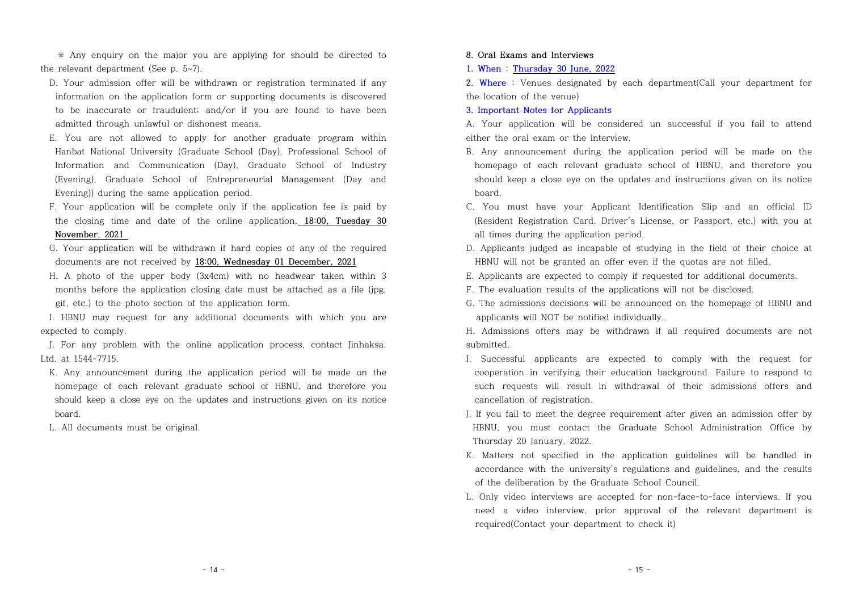※ Any enquiry on the major you are applying for should be directed to the relevant department (See p. 5~7).

- D. Your admission offer will be withdrawn or registration terminated if any information on the application form or supporting documents is discovered to be inaccurate or fraudulent; and/or if you are found to have been admitted through unlawful or dishonest means.
- E. You are not allowed to apply for another graduate program within Hanbat National University (Graduate School (Day), Professional School of Information and Communication (Day), Graduate School of Industry (Evening), Graduate School of Entrepreneurial Management (Day and Evening)) during the same application period.
- F. Your application will be complete only if the application fee is paid by the closing time and date of the online application, **18:00, Tuesday 30 November, 2021**
- G. Your application will be withdrawn if hard copies of any of the required documents are not received by **18:00, Wednesday 01 December, 2021**
- H. A photo of the upper body (3x4cm) with no headwear taken within 3 months before the application closing date must be attached as a file (jpg, gif, etc.) to the photo section of the application form.

I. HBNU may request for any additional documents with which you are expected to comply.

 J. For any problem with the online application process, contact Jinhaksa, Ltd. at 1544-7715.

- K. Any announcement during the application period will be made on the homepage of each relevant graduate school of HBNU, and therefore you should keep a close eye on the updates and instructions given on its notice board.
- L. All documents must be original.

#### **8. Oral Exams and Interviews**

**1. When : Thursday 30 June, 2022**

**2. Where :** Venues designated by each department(Call your department for the location of the venue)

#### **3. Important Notes for Applicants**

A. Your application will be considered un successful if you fail to attend either the oral exam or the interview.

- B. Any announcement during the application period will be made on the homepage of each relevant graduate school of HBNU, and therefore you should keep a close eye on the updates and instructions given on its notice board.
- C. You must have your Applicant Identification Slip and an official ID (Resident Registration Card, Driver's License, or Passport, etc.) with you at all times during the application period.
- D. Applicants judged as incapable of studying in the field of their choice at HBNU will not be granted an offer even if the quotas are not filled.
- E. Applicants are expected to comply if requested for additional documents.
- F. The evaluation results of the applications will not be disclosed.
- G. The admissions decisions will be announced on the homepage of HBNU and applicants will NOT be notified individually.

H. Admissions offers may be withdrawn if all required documents are not submitted.

- I. Successful applicants are expected to comply with the request for cooperation in verifying their education background. Failure to respond to such requests will result in withdrawal of their admissions offers and cancellation of registration.
- J. If you fail to meet the degree requirement after given an admission offer by HBNU, you must contact the Graduate School Administration Office by Thursday 20 January, 2022.
- K. Matters not specified in the application guidelines will be handled in accordance with the university's regulations and guidelines, and the results of the deliberation by the Graduate School Council.
- L. Only video interviews are accepted for non-face-to-face interviews. If you need a video interview, prior approval of the relevant department is required(Contact your department to check it)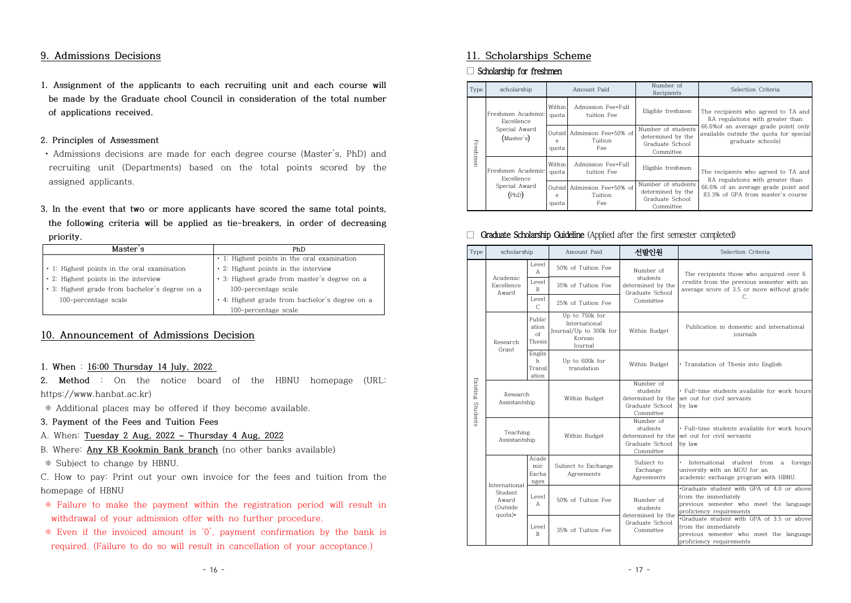## **9. Admissions Decisions**

**1. Assignment of the applicants to each recruiting unit and each course will be made by the Graduate chool Council in consideration of the total number of applications received.**

## **2. Principles of Assessment**

- Admissions decisions are made for each degree course (Master's, PhD) and recruiting unit (Departments) based on the total points scored by the assigned applicants.
- **3. In the event that two or more applicants have scored the same total points, the following criteria will be applied as tie-breakers, in order of decreasing priority.**

| Master's                                       | PhD.                                           |
|------------------------------------------------|------------------------------------------------|
|                                                | • 1: Highest points in the oral examination    |
| • 1: Highest points in the oral examination    | • 2: Highest points in the interview           |
| • 2: Highest points in the interview           | · 3: Highest grade from master's degree on a   |
| • 3: Highest grade from bachelor's degree on a | 100-percentage scale                           |
| 100-percentage scale                           | • 4: Highest grade from bachelor's degree on a |
|                                                | 100-percentage scale                           |

## **10. Announcement of Admissions Decision**

#### **1. When** : **16:00 Thursday 14 July, 2022**

**2. Method** : On the notice board of the HBNU homepage (URL: https://www.hanbat.ac.kr)

※ Additional places may be offered if they become available.

- **3. Payment of the Fees and Tuition Fees**
- A. When: **Tuesday 2 Aug, 2022 ~ Thursday 4 Aug, 2022**
- B. Where: **Any KB Kookmin Bank branch** (no other banks available)
- ※ Subject to change by HBNU.

C. How to pay: Print out your own invoice for the fees and tuition from the homepage of HBNU

- ※ Failure to make the payment within the registration period will result in withdrawal of your admission offer with no further procedure.
- $*$  Even if the invoiced amount is  $'0'$ , payment confirmation by the bank is required. (Failure to do so will result in cancellation of your acceptance.)

## **11. Scholarships Scheme**

#### □ Scholarship for freshmen

| Type     | scholarship                     | Amount Paid                                                   |                                               | Number of<br>Recipients                                                 | Selection Criteria                                                                                                                                                              |  |
|----------|---------------------------------|---------------------------------------------------------------|-----------------------------------------------|-------------------------------------------------------------------------|---------------------------------------------------------------------------------------------------------------------------------------------------------------------------------|--|
|          | Freshmen Academic<br>Excellence | Within<br>quota                                               | Admission Fee+Full<br>tuition Fee             | Eligible freshmen                                                       | The recipients who agreed to TA and<br>RA regulations with greater than<br>66.6% of an average grade point(only<br>available outside the quota for special<br>graduate schools) |  |
| Freshmen | Special Award<br>(Master's)     | e<br>quota                                                    | Outsid Admission Fee+50% of<br>Tuition<br>Fee | Number of students<br>determined by the<br>Graduate School<br>Committee |                                                                                                                                                                                 |  |
|          | Freshmen Academic<br>Excellence | Within<br>quota                                               | Admission Fee+Full<br>tuition Fee             | Eligible freshmen                                                       | The recipients who agreed to TA and<br>RA regulations with greater than                                                                                                         |  |
|          | Special Award<br>(PhD)          | Outsid   Admission Fee+50% of<br>Tuition<br>e<br>Fee<br>quota |                                               | Number of students<br>determined by the<br>Graduate School<br>Committee | 66.6% of an average grade point and<br>83.3% of GPA from master's course                                                                                                        |  |

## □ Graduate Scholarship Guideline (Applied after the first semester completed)

| Type     | scholarship                     |                                            | Amount Paid                                                                           | 서발이워                                                                       | Selection Criteria                                                                                                                       |
|----------|---------------------------------|--------------------------------------------|---------------------------------------------------------------------------------------|----------------------------------------------------------------------------|------------------------------------------------------------------------------------------------------------------------------------------|
|          |                                 | Level<br>$\mathsf{A}$                      | 50% of Tuition Fee                                                                    | Number of                                                                  | The recipients those who acquired over 6                                                                                                 |
|          | Academic<br>Excellence<br>Award | Level<br>$\mathbb R$                       | 35% of Tuition Fee                                                                    | students<br>determined by the<br>Graduate School                           | credits from the previous semester with an<br>average score of 3.5 or more without grade                                                 |
|          |                                 | Level<br>$\mathcal{C}$                     | 25% of Tuition Fee                                                                    | Committee                                                                  | С.                                                                                                                                       |
|          | Research                        | Public<br>ation<br>$\circ$ f<br>Thesis     | Up to 750k for<br>International<br>Journal/Up to 300k for<br>Korean<br><b>Journal</b> | Within Budget                                                              | Publication in domestic and international<br>journals                                                                                    |
|          | Grant                           | Englis<br>h<br>Transl<br>ation             | Up to 600k for<br>translation                                                         | Within Budget                                                              | • Translation of Thesis into English                                                                                                     |
| Students | Existing                        | Research<br>Within Budget<br>Assistantship |                                                                                       | Number of<br>students<br>determined by the<br>Graduate School<br>Committee | • Full-time students available for work hours<br>set out for civil servants<br>by law                                                    |
|          | Teaching<br>Assistantship       |                                            | Within Budget                                                                         | Number of<br>students<br>determined by the<br>Graduate School<br>Committee | . Full-time students available for work hours<br>set out for civil servants<br>by law                                                    |
|          | International                   | Acade<br>mic.<br>Excha<br>nges             | Subject to Exchange<br>Agreements                                                     | Subject to<br>Exchange<br>Agreements                                       | International student from a foreign<br>university with an MOU for an<br>academic exchange program with HBNU.                            |
|          | Student<br>Award<br>(Outside    | Level<br>$\Delta$                          | 50% of Tuition Fee                                                                    | Number of<br>students<br>determined by the                                 | Graduate student with GPA of 4.0 or above<br>from the immediately<br>previous semester who meet the language<br>proficiency requirements |
|          | quota)*                         | Level<br>B                                 | 35% of Tuition Fee                                                                    | Graduate School<br>Committee                                               | Graduate student with GPA of 3.5 or above<br>from the immediately<br>previous semester who meet the language<br>proficiency requirements |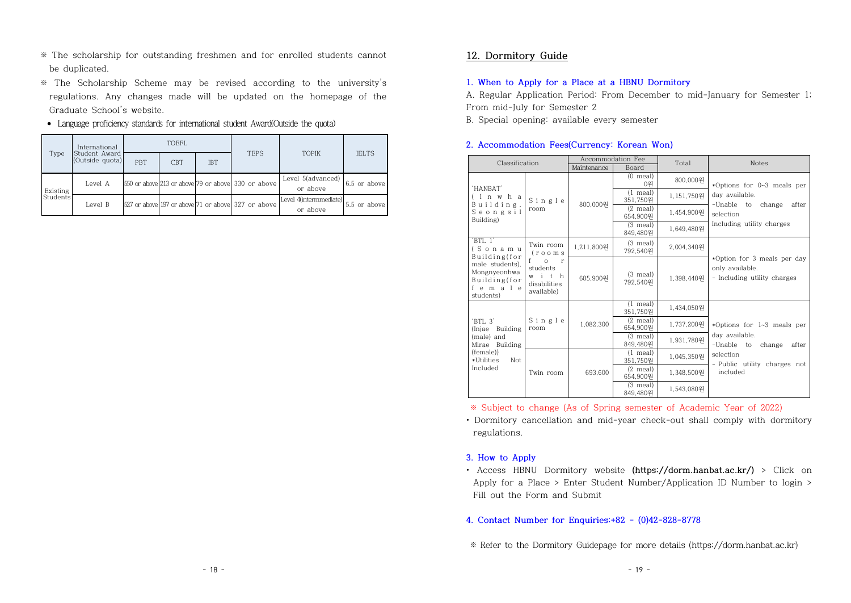- ※ The scholarship for outstanding freshmen and for enrolled students cannot be duplicated.
- ※ The Scholarship Scheme may be revised according to the university's regulations. Any changes made will be updated on the homepage of the Graduate School's website.
- Language proficiency standards for international student Award(Outside the quota)

|          | International                    | <b>TOEFL</b> |            |            |                                                    |                                    |              |
|----------|----------------------------------|--------------|------------|------------|----------------------------------------------------|------------------------------------|--------------|
| Type     | Student Award<br>(Outside quota) | <b>PBT</b>   | <b>CBT</b> | <b>IBT</b> | <b>TEPS</b>                                        | <b>TOPIK</b>                       | <b>IELTS</b> |
| Existing | Level A                          |              |            |            | 550 or above 213 or above 79 or above 330 or above | Level 5(advanced)<br>or above      | 6.5 or above |
| Students | Level B                          |              |            |            | 527 or above 197 or above 71 or above 327 or above | Level 4(intermmediate)<br>or above | 5.5 or above |

## **12. Dormitory Guide**

## **1. When to Apply for a Place at a HBNU Dormitory**

A. Regular Application Period: From December to mid-January for Semester 1; From mid-July for Semester 2

B. Special opening: available every semester

### **2. Accommodation Fees(Currency: Korean Won)**

| Classification                                                                                                     |                                                                                                 | Accommodation Fee |                                | Total      | <b>Notes</b>                                                                                 |  |
|--------------------------------------------------------------------------------------------------------------------|-------------------------------------------------------------------------------------------------|-------------------|--------------------------------|------------|----------------------------------------------------------------------------------------------|--|
|                                                                                                                    |                                                                                                 | Maintenance       | Board                          |            |                                                                                              |  |
| 'HANBAT'                                                                                                           | Single<br>room                                                                                  | 800,000원          | $(0 \text{ meal})$<br>0원       | 800,000원   | *Options for 0~3 meals per                                                                   |  |
| (Inwha<br>Building,<br>Seongsil<br>Building)                                                                       |                                                                                                 |                   | $(1 \text{ meal})$<br>351,750원 | 1,151,750원 | day available.<br>-Unable to change<br>after                                                 |  |
|                                                                                                                    |                                                                                                 |                   | $(2 \text{ meal})$<br>654,900원 | 1.454.900원 | selection                                                                                    |  |
|                                                                                                                    |                                                                                                 |                   | $(3 \text{ meal})$<br>849,480원 | 1.649.480원 | Including utility charges                                                                    |  |
| $'$ BTI. $1'$<br>(Sonamu<br>Building(for<br>male students).<br>Mongnyeonhwa<br>Building(for<br>female<br>students) | Twin room<br>$($ rooms<br>$f =$<br>$\Omega$ r<br>students<br>with<br>disabilities<br>available) | 1,211,800원        | $(3$ meal)<br>792,540원         | 2,004,340원 |                                                                                              |  |
|                                                                                                                    |                                                                                                 | 605,900월          | $(3 \text{ meal})$<br>792,540원 | 1.398.440원 | *Option for 3 meals per day<br>only available.<br>- Including utility charges                |  |
| 'BTL 3'<br>(Injae Building)<br>(male) and<br>Mirae Building<br>(female))<br>*Utilities<br>Not<br>Included          | Single<br>room                                                                                  | 1.082.300         | $(1 \text{ meal})$<br>351,750원 | 1.434.050원 |                                                                                              |  |
|                                                                                                                    |                                                                                                 |                   | $(2 \text{ meal})$<br>654,900원 | 1,737,200원 | *Options for 1~3 meals per                                                                   |  |
|                                                                                                                    |                                                                                                 |                   | $(3 \text{ meal})$<br>849,480원 | 1,931,780원 | day available.<br>-Unable to<br>change<br>after<br>selection<br>- Public utility charges not |  |
|                                                                                                                    | Twin room                                                                                       | 693.600           | $(1 \text{ meal})$<br>351,750원 | 1.045.350원 |                                                                                              |  |
|                                                                                                                    |                                                                                                 |                   | $(2 \text{ meal})$<br>654,900원 | 1.348.500원 | included                                                                                     |  |
|                                                                                                                    |                                                                                                 |                   | $(3 \text{ meal})$<br>849,480원 | 1,543,080원 |                                                                                              |  |

※ Subject to change (As of Spring semester of Academic Year of 2022) • Dormitory cancellation and mid-year check-out shall comply with dormitory

regulations.

#### **3. How to Apply**

• Access HBNU Dormitory website **(https://dorm.hanbat.ac.kr/)** > Click on Apply for a Place > Enter Student Number/Application ID Number to login > Fill out the Form and Submit

## **4. Contact Number for Enquiries:+82 - (0)42-828-8778**

※ Refer to the Dormitory Guidepage for more details (https://dorm.hanbat.ac.kr)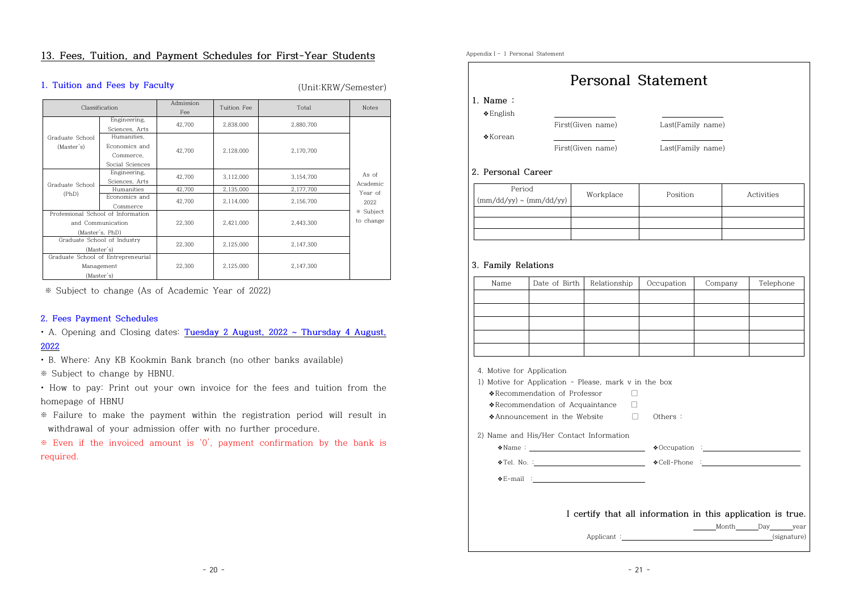## **13. Fees, Tuition, and Payment Schedules for First-Year Students**

## **1. Tuition and Fees by Faculty** (Unit:KRW/Semester)

| Classification                                                             |                                                              | Admission<br>Fee | Tuition Fee | Total     | <b>Notes</b>           |
|----------------------------------------------------------------------------|--------------------------------------------------------------|------------------|-------------|-----------|------------------------|
|                                                                            | Engineering,<br>Sciences, Arts                               | 42.700           | 2,838,000   | 2,880,700 |                        |
| Graduate School<br>(Master's)                                              | Humanities.<br>Economics and<br>Commerce.<br>Social Sciences | 42.700           | 2,128,000   | 2,170,700 |                        |
| Graduate School<br>(PhD)                                                   | Engineering.<br>Sciences, Arts                               | 42.700           | 3,112,000   | 3,154,700 | As of<br>Academic      |
|                                                                            | Humanities                                                   | 42,700           | 2,135,000   | 2,177,700 | Year of                |
|                                                                            | Economics and<br>Commerce                                    | 42.700           | 2,114,000   | 2,156,700 | 2022                   |
| Professional School of Information<br>and Communication<br>(Master's, PhD) |                                                              | 22,300           | 2,421,000   | 2,443,300 | * Subject<br>to change |
| Graduate School of Industry<br>(Master's)                                  |                                                              | 22.300           | 2,125,000   | 2,147,300 |                        |
| Graduate School of Entrepreneurial<br>Management<br>(Master's)             |                                                              | 22,300           | 2,125,000   | 2,147,300 |                        |

※ Subject to change (As of Academic Year of 2022)

## **2. Fees Payment Schedules**

• A. Opening and Closing dates: **Tuesday 2 August, 2022 ~ Thursday 4 August, 2022**

- B. Where: Any KB Kookmin Bank branch (no other banks available)
- 
- $*$  Subject to change by HBNU.<br>• How to pay: Print out your own invoice for the fees and tuition from the homepage of HBNU
- ※ Failure to make the payment within the registration period will result in withdrawal of your admission offer with no further procedure.

※ Even if the invoiced amount is '0', payment confirmation by the bank is required.

|                                  |                                                              | <b>Personal Statement</b>                                                                                         |                   |         |            |  |  |
|----------------------------------|--------------------------------------------------------------|-------------------------------------------------------------------------------------------------------------------|-------------------|---------|------------|--|--|
| 1. Name:                         |                                                              |                                                                                                                   |                   |         |            |  |  |
| $\triangle$ English              |                                                              |                                                                                                                   |                   |         |            |  |  |
| $\triangle$ Korean               |                                                              | First(Given name)                                                                                                 | Last(Family name) |         |            |  |  |
|                                  |                                                              | First(Given name)                                                                                                 | Last(Family name) |         |            |  |  |
|                                  |                                                              |                                                                                                                   |                   |         |            |  |  |
| 2. Personal Career               |                                                              |                                                                                                                   |                   |         |            |  |  |
| Period                           |                                                              | Workplace                                                                                                         | Position          |         | Activities |  |  |
| $\rm (mm/dd/yy) \sim (mm/dd/yy)$ |                                                              |                                                                                                                   |                   |         |            |  |  |
|                                  |                                                              |                                                                                                                   |                   |         |            |  |  |
|                                  |                                                              |                                                                                                                   |                   |         |            |  |  |
|                                  |                                                              |                                                                                                                   |                   |         |            |  |  |
| 3. Family Relations<br>Name      | Date of Birth                                                | Relationship                                                                                                      | Occupation        | Company | Telephone  |  |  |
|                                  |                                                              |                                                                                                                   |                   |         |            |  |  |
|                                  |                                                              |                                                                                                                   |                   |         |            |  |  |
| 4. Motive for Application        | *Recommendation of Professor<br>◆Announcement in the Website | 1) Motive for Application - Please, mark v in the box<br>□<br>*Recommendation of Acquaintance<br>$\Box$<br>$\Box$ | Others:           |         |            |  |  |
|                                  |                                                              | 2) Name and His/Her Contact Information                                                                           |                   |         |            |  |  |
|                                  |                                                              |                                                                                                                   |                   |         |            |  |  |
|                                  |                                                              | $\bullet$ Tel. No. : $\bullet$ Cell-Phone :                                                                       |                   |         |            |  |  |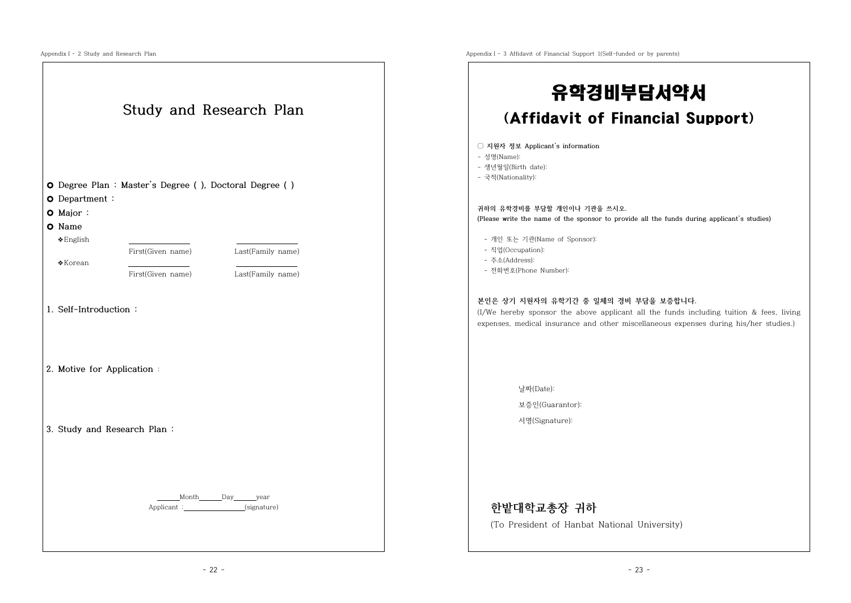|                                           |                                                          | 유학경비부담서약서                                                                                                                                                                                                                |  |  |
|-------------------------------------------|----------------------------------------------------------|--------------------------------------------------------------------------------------------------------------------------------------------------------------------------------------------------------------------------|--|--|
|                                           | Study and Research Plan                                  | (Affidavit of Financial Support)                                                                                                                                                                                         |  |  |
|                                           | O Degree Plan : Master's Degree ( ), Doctoral Degree ( ) | □ 지원자 정보 Applicant's information<br>- 성명(Name):<br>- 생년월일(Birth date):<br>- 국적(Nationality):                                                                                                                             |  |  |
| O Department:                             |                                                          |                                                                                                                                                                                                                          |  |  |
| O Major:                                  |                                                          | 귀하의 유학경비를 부담할 개인이나 기관을 쓰시오.<br>(Please write the name of the sponsor to provide all the funds during applicant's studies)                                                                                                |  |  |
| O Name                                    |                                                          |                                                                                                                                                                                                                          |  |  |
| $\triangle$ English<br>$\triangle$ Korean | First(Given name)<br>Last(Family name)                   | - 개인 또는 기관(Name of Sponsor):<br>- 직업(Occupation):<br>- 주소(Address):                                                                                                                                                      |  |  |
|                                           | First(Given name)<br>Last(Family name)                   | - 전화번호(Phone Number):                                                                                                                                                                                                    |  |  |
| 1. Self-Introduction:                     |                                                          | 본인은 상기 지원자의 유학기간 중 일체의 경비 부담을 보증합니다.<br>(I/We hereby sponsor the above applicant all the funds including tuition & fees, living<br>expenses, medical insurance and other miscellaneous expenses during his/her studies.) |  |  |
| 2. Motive for Application :               |                                                          |                                                                                                                                                                                                                          |  |  |
|                                           |                                                          | 날짜(Date):                                                                                                                                                                                                                |  |  |
|                                           |                                                          | 보증인(Guarantor):                                                                                                                                                                                                          |  |  |
|                                           | 3. Study and Research Plan:                              | 서명(Signature):                                                                                                                                                                                                           |  |  |
|                                           |                                                          |                                                                                                                                                                                                                          |  |  |
|                                           |                                                          |                                                                                                                                                                                                                          |  |  |
|                                           | Month Day year                                           | 한밭대학교총장 귀하                                                                                                                                                                                                               |  |  |
|                                           | Applicant :_________________(signature)                  |                                                                                                                                                                                                                          |  |  |

AppendixⅠ- 3 Affidavit of Financial Support 1(Self-funded or by parents)